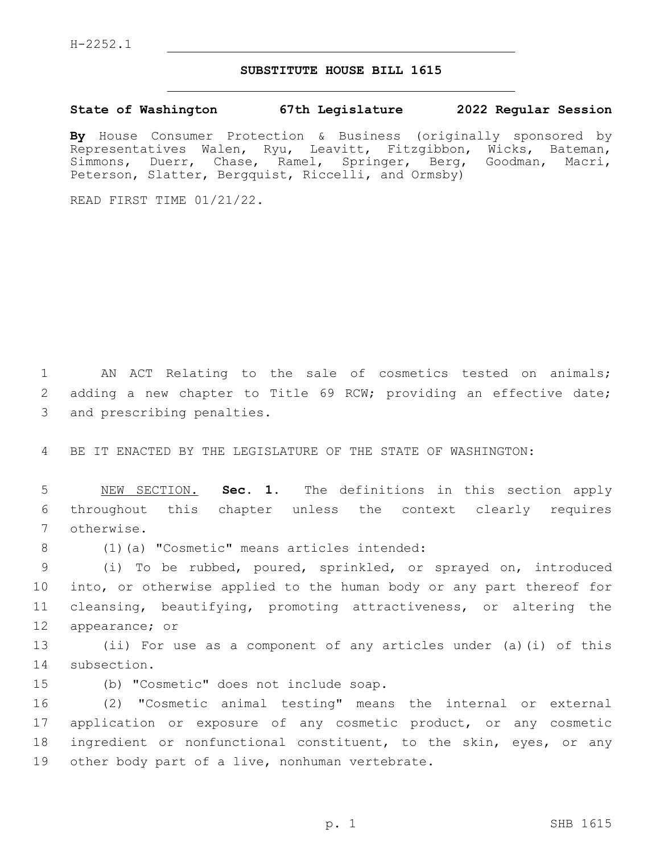## **SUBSTITUTE HOUSE BILL 1615**

## **State of Washington 67th Legislature 2022 Regular Session**

**By** House Consumer Protection & Business (originally sponsored by Representatives Walen, Ryu, Leavitt, Fitzgibbon, Wicks, Bateman, Simmons, Duerr, Chase, Ramel, Springer, Berg, Goodman, Macri, Peterson, Slatter, Bergquist, Riccelli, and Ormsby)

READ FIRST TIME 01/21/22.

1 AN ACT Relating to the sale of cosmetics tested on animals; 2 adding a new chapter to Title 69 RCW; providing an effective date; 3 and prescribing penalties.

4 BE IT ENACTED BY THE LEGISLATURE OF THE STATE OF WASHINGTON:

5 NEW SECTION. **Sec. 1.** The definitions in this section apply 6 throughout this chapter unless the context clearly requires 7 otherwise.

(1)(a) "Cosmetic" means articles intended:8

 (i) To be rubbed, poured, sprinkled, or sprayed on, introduced into, or otherwise applied to the human body or any part thereof for cleansing, beautifying, promoting attractiveness, or altering the 12 appearance; or

13 (ii) For use as a component of any articles under (a)(i) of this 14 subsection.

15 (b) "Cosmetic" does not include soap.

 (2) "Cosmetic animal testing" means the internal or external application or exposure of any cosmetic product, or any cosmetic ingredient or nonfunctional constituent, to the skin, eyes, or any 19 other body part of a live, nonhuman vertebrate.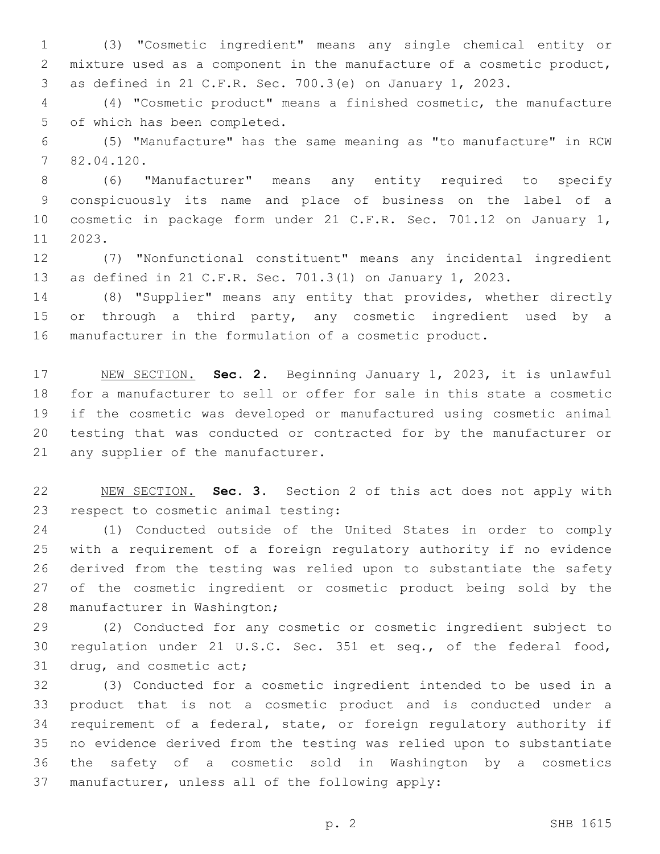(3) "Cosmetic ingredient" means any single chemical entity or mixture used as a component in the manufacture of a cosmetic product, as defined in 21 C.F.R. Sec. 700.3(e) on January 1, 2023.

 (4) "Cosmetic product" means a finished cosmetic, the manufacture 5 of which has been completed.

 (5) "Manufacture" has the same meaning as "to manufacture" in RCW 82.04.120.7

 (6) "Manufacturer" means any entity required to specify conspicuously its name and place of business on the label of a cosmetic in package form under 21 C.F.R. Sec. 701.12 on January 1, 11 2023.

 (7) "Nonfunctional constituent" means any incidental ingredient as defined in 21 C.F.R. Sec. 701.3(1) on January 1, 2023.

 (8) "Supplier" means any entity that provides, whether directly 15 or through a third party, any cosmetic ingredient used by a manufacturer in the formulation of a cosmetic product.

 NEW SECTION. **Sec. 2.** Beginning January 1, 2023, it is unlawful for a manufacturer to sell or offer for sale in this state a cosmetic if the cosmetic was developed or manufactured using cosmetic animal testing that was conducted or contracted for by the manufacturer or any supplier of the manufacturer.

 NEW SECTION. **Sec. 3.** Section 2 of this act does not apply with respect to cosmetic animal testing:

 (1) Conducted outside of the United States in order to comply with a requirement of a foreign regulatory authority if no evidence derived from the testing was relied upon to substantiate the safety of the cosmetic ingredient or cosmetic product being sold by the 28 manufacturer in Washington;

 (2) Conducted for any cosmetic or cosmetic ingredient subject to regulation under 21 U.S.C. Sec. 351 et seq., of the federal food, 31 drug, and cosmetic act;

 (3) Conducted for a cosmetic ingredient intended to be used in a product that is not a cosmetic product and is conducted under a requirement of a federal, state, or foreign regulatory authority if no evidence derived from the testing was relied upon to substantiate the safety of a cosmetic sold in Washington by a cosmetics 37 manufacturer, unless all of the following apply: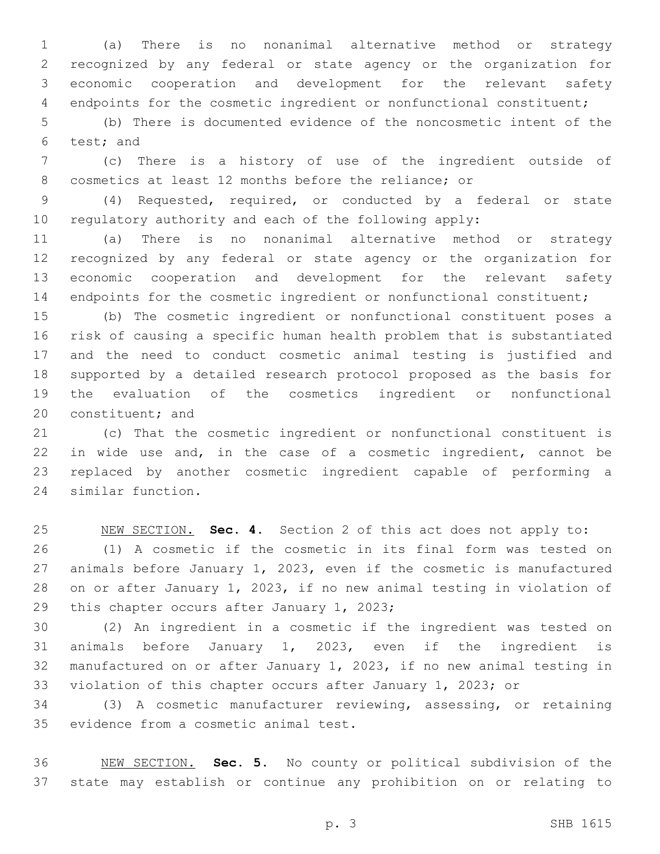(a) There is no nonanimal alternative method or strategy recognized by any federal or state agency or the organization for economic cooperation and development for the relevant safety endpoints for the cosmetic ingredient or nonfunctional constituent;

 (b) There is documented evidence of the noncosmetic intent of the 6 test; and

 (c) There is a history of use of the ingredient outside of cosmetics at least 12 months before the reliance; or

 (4) Requested, required, or conducted by a federal or state regulatory authority and each of the following apply:

 (a) There is no nonanimal alternative method or strategy recognized by any federal or state agency or the organization for economic cooperation and development for the relevant safety 14 endpoints for the cosmetic ingredient or nonfunctional constituent;

 (b) The cosmetic ingredient or nonfunctional constituent poses a risk of causing a specific human health problem that is substantiated and the need to conduct cosmetic animal testing is justified and supported by a detailed research protocol proposed as the basis for the evaluation of the cosmetics ingredient or nonfunctional 20 constituent; and

 (c) That the cosmetic ingredient or nonfunctional constituent is in wide use and, in the case of a cosmetic ingredient, cannot be replaced by another cosmetic ingredient capable of performing a 24 similar function.

 NEW SECTION. **Sec. 4.** Section 2 of this act does not apply to: (1) A cosmetic if the cosmetic in its final form was tested on animals before January 1, 2023, even if the cosmetic is manufactured on or after January 1, 2023, if no new animal testing in violation of 29 this chapter occurs after January 1, 2023;

 (2) An ingredient in a cosmetic if the ingredient was tested on animals before January 1, 2023, even if the ingredient is manufactured on or after January 1, 2023, if no new animal testing in violation of this chapter occurs after January 1, 2023; or

 (3) A cosmetic manufacturer reviewing, assessing, or retaining 35 evidence from a cosmetic animal test.

 NEW SECTION. **Sec. 5.** No county or political subdivision of the state may establish or continue any prohibition on or relating to